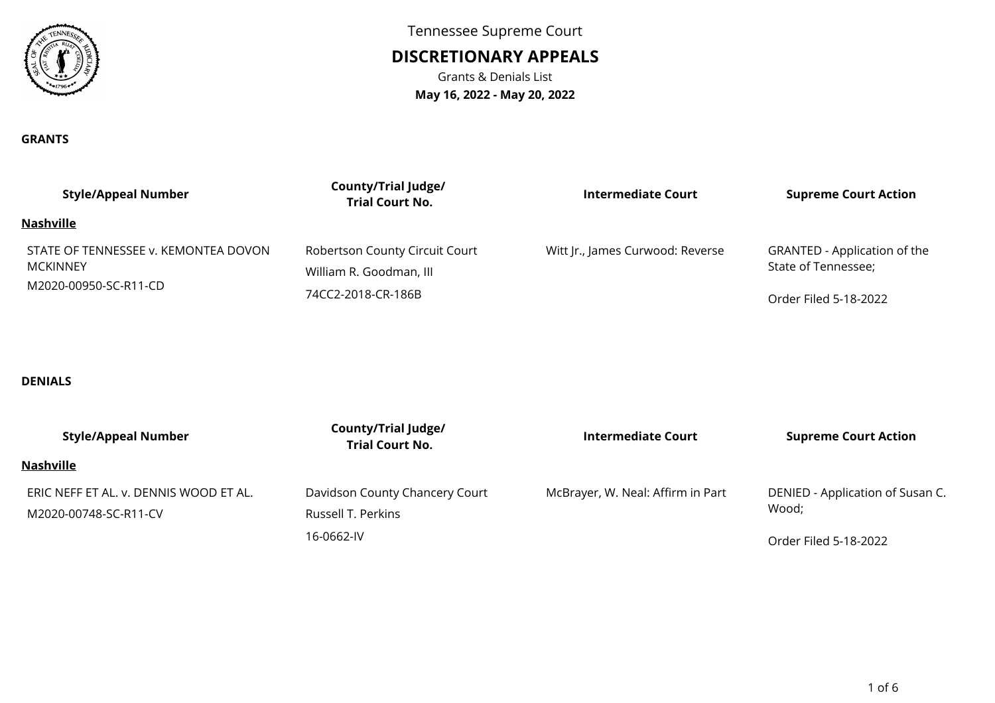

Tennessee Supreme Court

# **DISCRETIONARY APPEALS**

Grants & Denials List**May 16, 2022 - May 20, 2022**

### **GRANTS**

| <b>Style/Appeal Number</b>                                                       | County/Trial Judge/<br><b>Trial Court No.</b> | <b>Intermediate Court</b>        | <b>Supreme Court Action</b>         |
|----------------------------------------------------------------------------------|-----------------------------------------------|----------------------------------|-------------------------------------|
| Nashville                                                                        |                                               |                                  |                                     |
| STATE OF TENNESSEE v. KEMONTEA DOVON<br><b>MCKINNEY</b><br>M2020-00950-SC-R11-CD | Robertson County Circuit Court                | Witt Jr., James Curwood: Reverse | <b>GRANTED - Application of the</b> |
|                                                                                  | William R. Goodman, III                       |                                  | State of Tennessee;                 |
|                                                                                  | 74CC2-2018-CR-186B                            |                                  | Order Filed 5-18-2022               |

## **DENIALS**

| <b>Style/Appeal Number</b>             | <b>County/Trial Judge/</b><br><b>Trial Court No.</b> | <b>Intermediate Court</b>         | <b>Supreme Court Action</b>      |
|----------------------------------------|------------------------------------------------------|-----------------------------------|----------------------------------|
| Nashville                              |                                                      |                                   |                                  |
| ERIC NEFF ET AL. v. DENNIS WOOD ET AL. | Davidson County Chancery Court                       | McBrayer, W. Neal: Affirm in Part | DENIED - Application of Susan C. |
| M2020-00748-SC-R11-CV                  | Russell T. Perkins                                   |                                   | Wood;                            |
|                                        | 16-0662-IV                                           |                                   | Order Filed 5-18-2022            |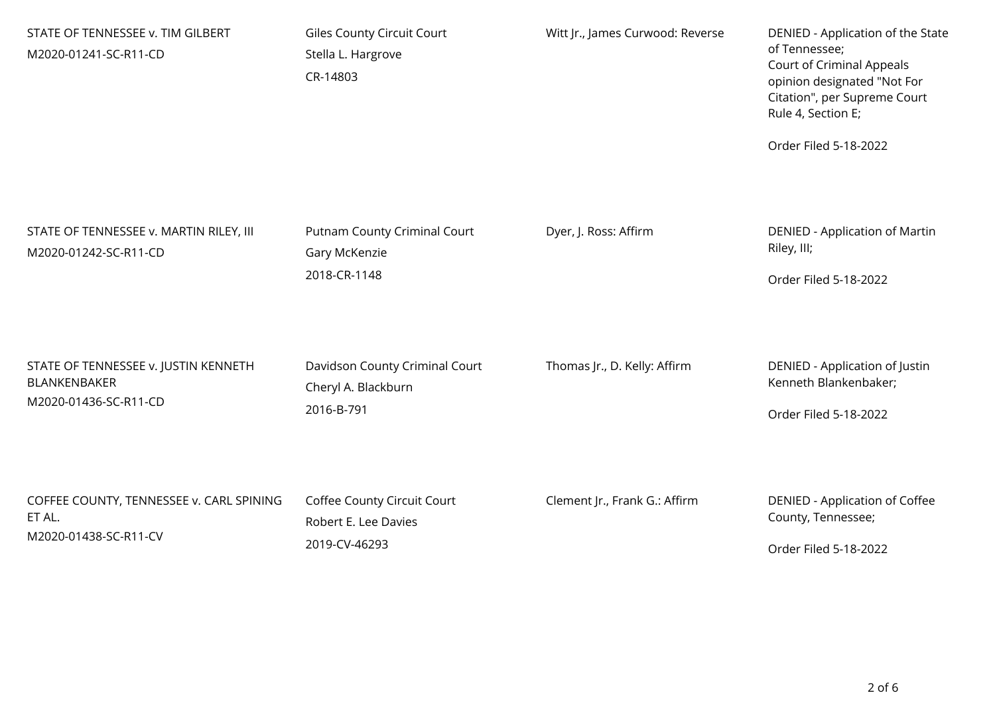| STATE OF TENNESSEE v. TIM GILBERT<br>M2020-01241-SC-R11-CD       | Giles County Circuit Court<br>Stella L. Hargrove<br>CR-14803  | Witt Jr., James Curwood: Reverse | DENIED - Application of the State<br>of Tennessee;<br>Court of Criminal Appeals<br>opinion designated "Not For<br>Citation", per Supreme Court<br>Rule 4, Section E;<br>Order Filed 5-18-2022 |
|------------------------------------------------------------------|---------------------------------------------------------------|----------------------------------|-----------------------------------------------------------------------------------------------------------------------------------------------------------------------------------------------|
| STATE OF TENNESSEE v. MARTIN RILEY, III<br>M2020-01242-SC-R11-CD | Putnam County Criminal Court<br>Gary McKenzie<br>2018-CR-1148 | Dyer, J. Ross: Affirm            | <b>DENIED - Application of Martin</b><br>Riley, III;<br>Order Filed 5-18-2022                                                                                                                 |
| STATE OF TENNESSEE v. JUSTIN KENNETH                             | Davidson County Criminal Court                                | Thomas Jr., D. Kelly: Affirm     | DENIED - Application of Justin                                                                                                                                                                |
| <b>BLANKENBAKER</b>                                              | Cheryl A. Blackburn                                           |                                  | Kenneth Blankenbaker;                                                                                                                                                                         |
| M2020-01436-SC-R11-CD                                            | 2016-B-791                                                    |                                  | Order Filed 5-18-2022                                                                                                                                                                         |
| COFFEE COUNTY, TENNESSEE v. CARL SPINING                         | Coffee County Circuit Court                                   | Clement Jr., Frank G.: Affirm    | DENIED - Application of Coffee                                                                                                                                                                |
| ET AL.                                                           | Robert E. Lee Davies                                          |                                  | County, Tennessee;                                                                                                                                                                            |
| M2020-01438-SC-R11-CV                                            | 2019-CV-46293                                                 |                                  | Order Filed 5-18-2022                                                                                                                                                                         |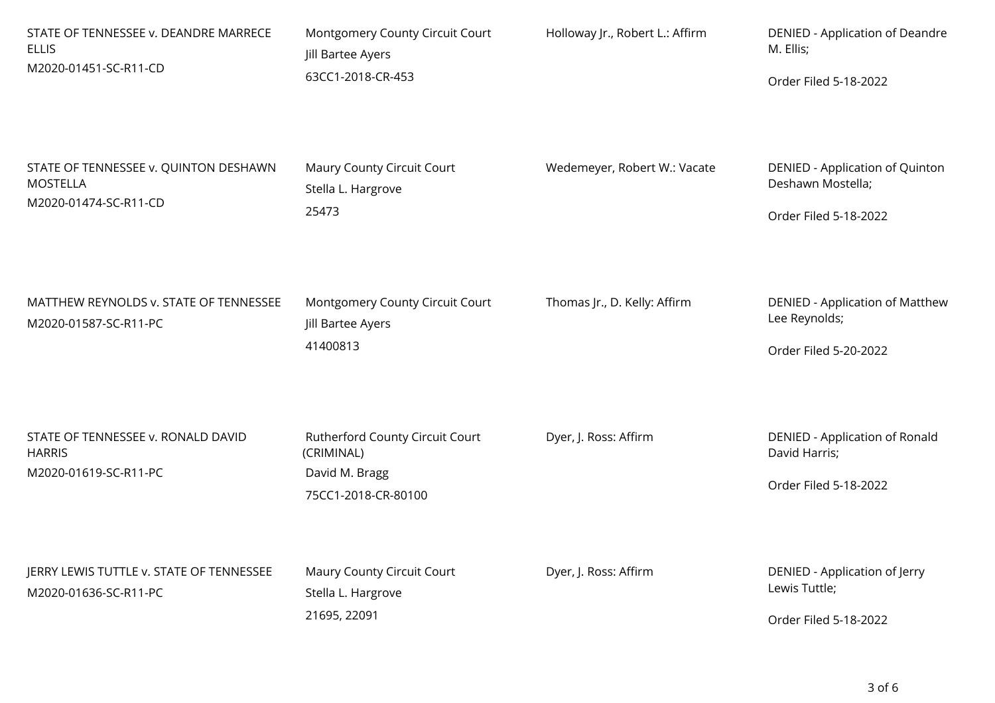| STATE OF TENNESSEE v. DEANDRE MARRECE<br><b>ELLIS</b><br>M2020-01451-SC-R11-CD | Montgomery County Circuit Court<br>Jill Bartee Ayers<br>63CC1-2018-CR-453 | Holloway Jr., Robert L.: Affirm | DENIED - Application of Deandre<br>M. Ellis;            |
|--------------------------------------------------------------------------------|---------------------------------------------------------------------------|---------------------------------|---------------------------------------------------------|
|                                                                                |                                                                           |                                 | Order Filed 5-18-2022                                   |
| STATE OF TENNESSEE v. QUINTON DESHAWN<br><b>MOSTELLA</b>                       | Maury County Circuit Court<br>Stella L. Hargrove                          | Wedemeyer, Robert W.: Vacate    | DENIED - Application of Quinton<br>Deshawn Mostella;    |
| M2020-01474-SC-R11-CD                                                          | 25473                                                                     |                                 | Order Filed 5-18-2022                                   |
| MATTHEW REYNOLDS v. STATE OF TENNESSEE<br>M2020-01587-SC-R11-PC                | Montgomery County Circuit Court<br>Jill Bartee Ayers                      | Thomas Jr., D. Kelly: Affirm    | <b>DENIED - Application of Matthew</b><br>Lee Reynolds; |
|                                                                                | 41400813                                                                  |                                 | Order Filed 5-20-2022                                   |
| STATE OF TENNESSEE v. RONALD DAVID<br><b>HARRIS</b><br>M2020-01619-SC-R11-PC   | Rutherford County Circuit Court<br>(CRIMINAL)<br>David M. Bragg           | Dyer, J. Ross: Affirm           | DENIED - Application of Ronald<br>David Harris;         |
|                                                                                | 75CC1-2018-CR-80100                                                       |                                 | Order Filed 5-18-2022                                   |
| JERRY LEWIS TUTTLE v. STATE OF TENNESSEE<br>M2020-01636-SC-R11-PC              | Maury County Circuit Court<br>Stella L. Hargrove                          | Dyer, J. Ross: Affirm           | DENIED - Application of Jerry<br>Lewis Tuttle;          |
|                                                                                | 21695, 22091                                                              |                                 | Order Filed 5-18-2022                                   |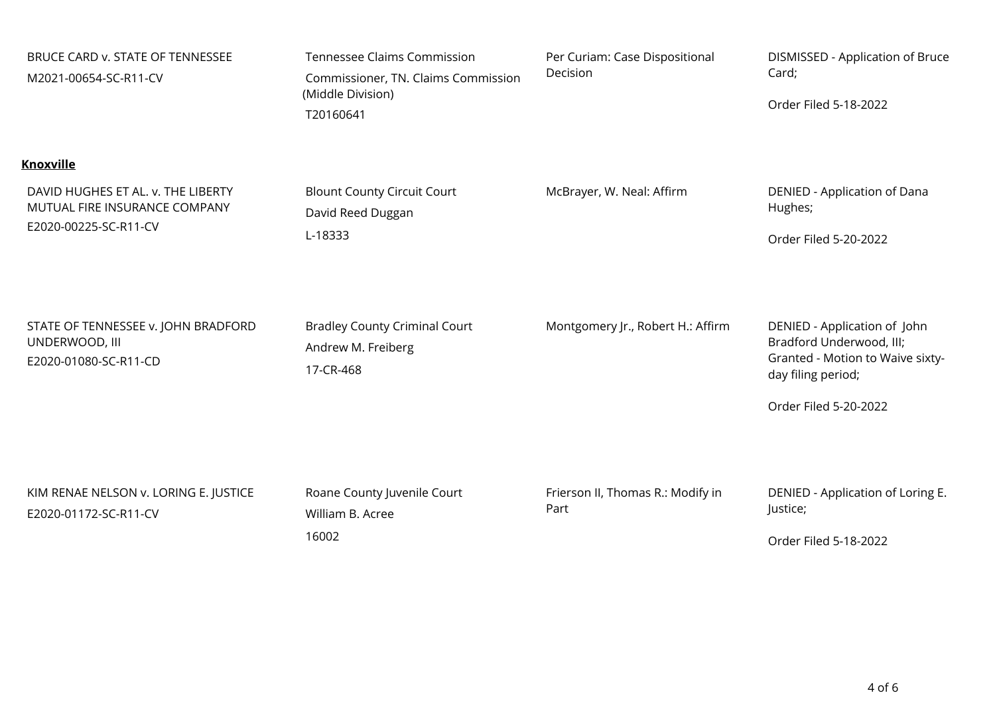| BRUCE CARD v. STATE OF TENNESSEE<br>M2021-00654-SC-R11-CV                                    | <b>Tennessee Claims Commission</b><br>Commissioner, TN. Claims Commission<br>(Middle Division)<br>T20160641 | Per Curiam: Case Dispositional<br>Decision | DISMISSED - Application of Bruce<br>Card;<br>Order Filed 5-18-2022                                                                          |
|----------------------------------------------------------------------------------------------|-------------------------------------------------------------------------------------------------------------|--------------------------------------------|---------------------------------------------------------------------------------------------------------------------------------------------|
| <b>Knoxville</b>                                                                             |                                                                                                             |                                            |                                                                                                                                             |
| DAVID HUGHES ET AL. v. THE LIBERTY<br>MUTUAL FIRE INSURANCE COMPANY<br>E2020-00225-SC-R11-CV | <b>Blount County Circuit Court</b><br>David Reed Duggan<br>L-18333                                          | McBrayer, W. Neal: Affirm                  | DENIED - Application of Dana<br>Hughes;<br>Order Filed 5-20-2022                                                                            |
| STATE OF TENNESSEE v. JOHN BRADFORD<br>UNDERWOOD, III<br>E2020-01080-SC-R11-CD               | <b>Bradley County Criminal Court</b><br>Andrew M. Freiberg<br>17-CR-468                                     | Montgomery Jr., Robert H.: Affirm          | DENIED - Application of John<br>Bradford Underwood, III;<br>Granted - Motion to Waive sixty-<br>day filing period;<br>Order Filed 5-20-2022 |
| KIM RENAE NELSON v. LORING E. JUSTICE<br>E2020-01172-SC-R11-CV                               | Roane County Juvenile Court<br>William B. Acree<br>16002                                                    | Frierson II, Thomas R.: Modify in<br>Part  | DENIED - Application of Loring E.<br>Justice;<br>Order Filed 5-18-2022                                                                      |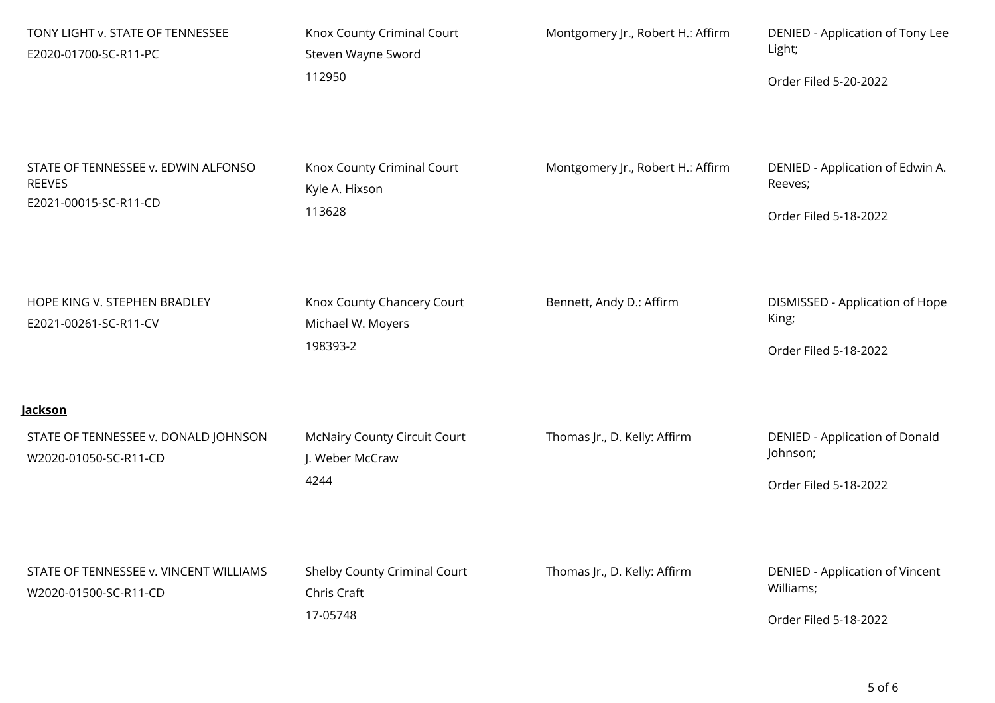| TONY LIGHT v. STATE OF TENNESSEE<br>E2020-01700-SC-R11-PC                     | Knox County Criminal Court<br>Steven Wayne Sword<br>112950     | Montgomery Jr., Robert H.: Affirm | DENIED - Application of Tony Lee<br>Light;<br>Order Filed 5-20-2022   |
|-------------------------------------------------------------------------------|----------------------------------------------------------------|-----------------------------------|-----------------------------------------------------------------------|
| STATE OF TENNESSEE v. EDWIN ALFONSO<br><b>REEVES</b><br>E2021-00015-SC-R11-CD | Knox County Criminal Court<br>Kyle A. Hixson<br>113628         | Montgomery Jr., Robert H.: Affirm | DENIED - Application of Edwin A.<br>Reeves;<br>Order Filed 5-18-2022  |
| HOPE KING V. STEPHEN BRADLEY<br>E2021-00261-SC-R11-CV                         | Knox County Chancery Court<br>Michael W. Moyers<br>198393-2    | Bennett, Andy D.: Affirm          | DISMISSED - Application of Hope<br>King;<br>Order Filed 5-18-2022     |
| <u>Jackson</u>                                                                |                                                                |                                   |                                                                       |
| STATE OF TENNESSEE v. DONALD JOHNSON<br>W2020-01050-SC-R11-CD                 | <b>McNairy County Circuit Court</b><br>J. Weber McCraw<br>4244 | Thomas Jr., D. Kelly: Affirm      | DENIED - Application of Donald<br>Johnson;<br>Order Filed 5-18-2022   |
| STATE OF TENNESSEE v. VINCENT WILLIAMS<br>W2020-01500-SC-R11-CD               | Shelby County Criminal Court<br>Chris Craft<br>17-05748        | Thomas Jr., D. Kelly: Affirm      | DENIED - Application of Vincent<br>Williams;<br>Order Filed 5-18-2022 |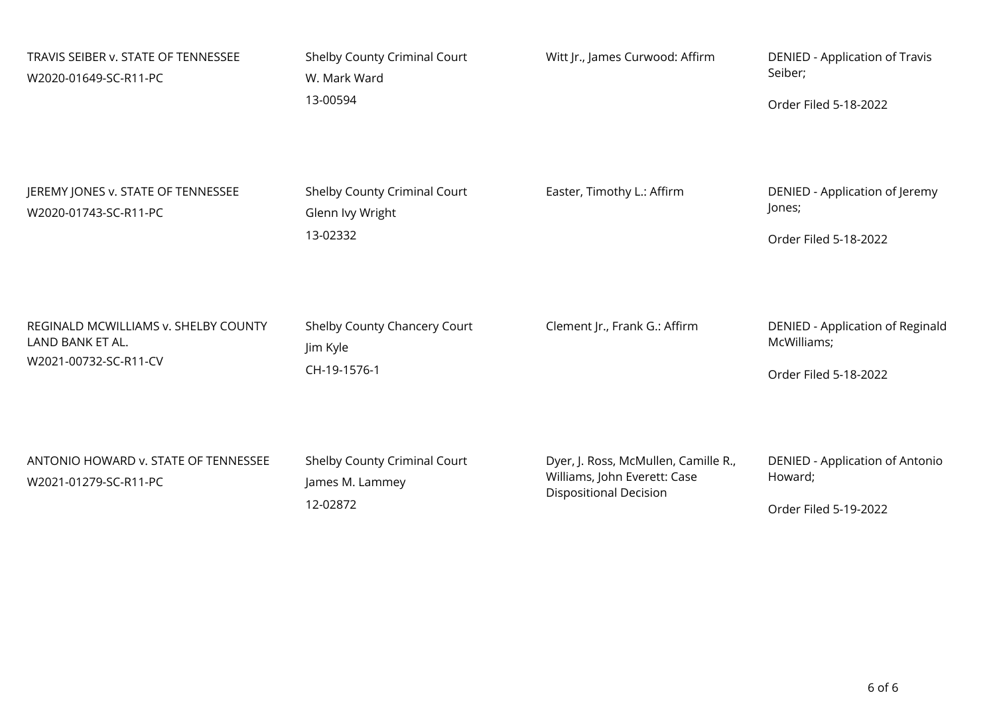| TRAVIS SEIBER v. STATE OF TENNESSEE<br>W2020-01649-SC-R11-PC                      | Shelby County Criminal Court<br>W. Mark Ward<br>13-00594     | Witt Jr., James Curwood: Affirm                                                                       | DENIED - Application of Travis<br>Seiber;<br>Order Filed 5-18-2022       |
|-----------------------------------------------------------------------------------|--------------------------------------------------------------|-------------------------------------------------------------------------------------------------------|--------------------------------------------------------------------------|
| JEREMY JONES v. STATE OF TENNESSEE<br>W2020-01743-SC-R11-PC                       | Shelby County Criminal Court<br>Glenn Ivy Wright<br>13-02332 | Easter, Timothy L.: Affirm                                                                            | DENIED - Application of Jeremy<br>Jones;<br>Order Filed 5-18-2022        |
| REGINALD MCWILLIAMS v. SHELBY COUNTY<br>LAND BANK ET AL.<br>W2021-00732-SC-R11-CV | Shelby County Chancery Court<br>Jim Kyle<br>CH-19-1576-1     | Clement Jr., Frank G.: Affirm                                                                         | DENIED - Application of Reginald<br>McWilliams;<br>Order Filed 5-18-2022 |
| ANTONIO HOWARD v. STATE OF TENNESSEE<br>W2021-01279-SC-R11-PC                     | Shelby County Criminal Court<br>James M. Lammey<br>12-02872  | Dyer, J. Ross, McMullen, Camille R.,<br>Williams, John Everett: Case<br><b>Dispositional Decision</b> | DENIED - Application of Antonio<br>Howard;<br>Order Filed 5-19-2022      |